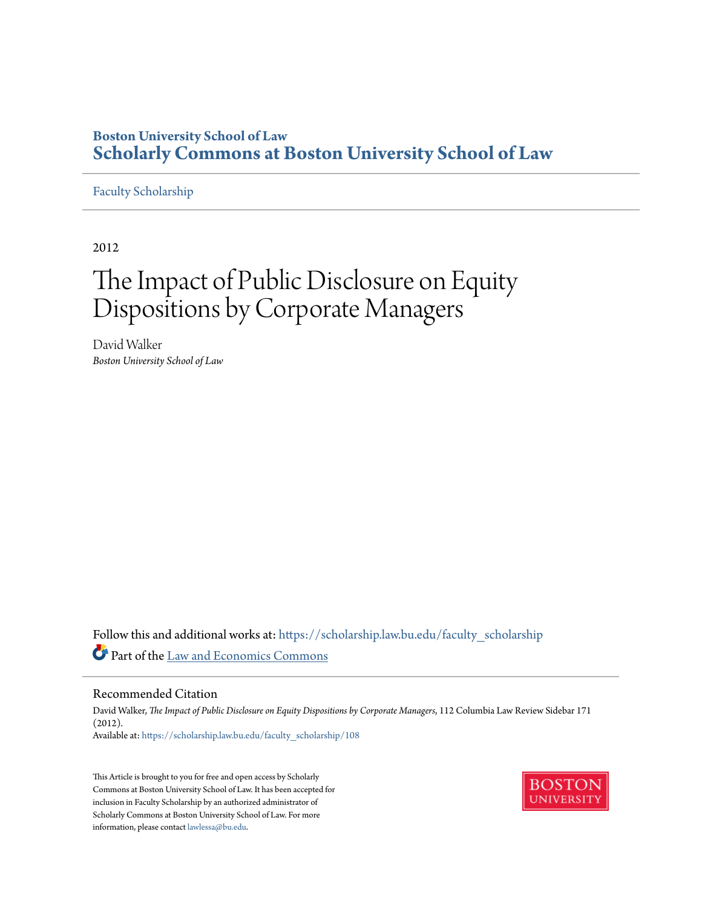## **Boston University School of Law [Scholarly Commons at Boston University School of Law](https://scholarship.law.bu.edu?utm_source=scholarship.law.bu.edu%2Ffaculty_scholarship%2F108&utm_medium=PDF&utm_campaign=PDFCoverPages)**

## [Faculty Scholarship](https://scholarship.law.bu.edu/faculty_scholarship?utm_source=scholarship.law.bu.edu%2Ffaculty_scholarship%2F108&utm_medium=PDF&utm_campaign=PDFCoverPages)

2012

# The Impact of Public Disclosure on Equity Dispositions by Corporate Managers

David Walker *Boston University School of Law*

Follow this and additional works at: [https://scholarship.law.bu.edu/faculty\\_scholarship](https://scholarship.law.bu.edu/faculty_scholarship?utm_source=scholarship.law.bu.edu%2Ffaculty_scholarship%2F108&utm_medium=PDF&utm_campaign=PDFCoverPages) Part of the [Law and Economics Commons](http://network.bepress.com/hgg/discipline/612?utm_source=scholarship.law.bu.edu%2Ffaculty_scholarship%2F108&utm_medium=PDF&utm_campaign=PDFCoverPages)

#### Recommended Citation

David Walker, *The Impact of Public Disclosure on Equity Dispositions by Corporate Managers*, 112 Columbia Law Review Sidebar 171 (2012). Available at: [https://scholarship.law.bu.edu/faculty\\_scholarship/108](https://scholarship.law.bu.edu/faculty_scholarship/108?utm_source=scholarship.law.bu.edu%2Ffaculty_scholarship%2F108&utm_medium=PDF&utm_campaign=PDFCoverPages)

This Article is brought to you for free and open access by Scholarly Commons at Boston University School of Law. It has been accepted for inclusion in Faculty Scholarship by an authorized administrator of Scholarly Commons at Boston University School of Law. For more information, please contact [lawlessa@bu.edu.](mailto:lawlessa@bu.edu)

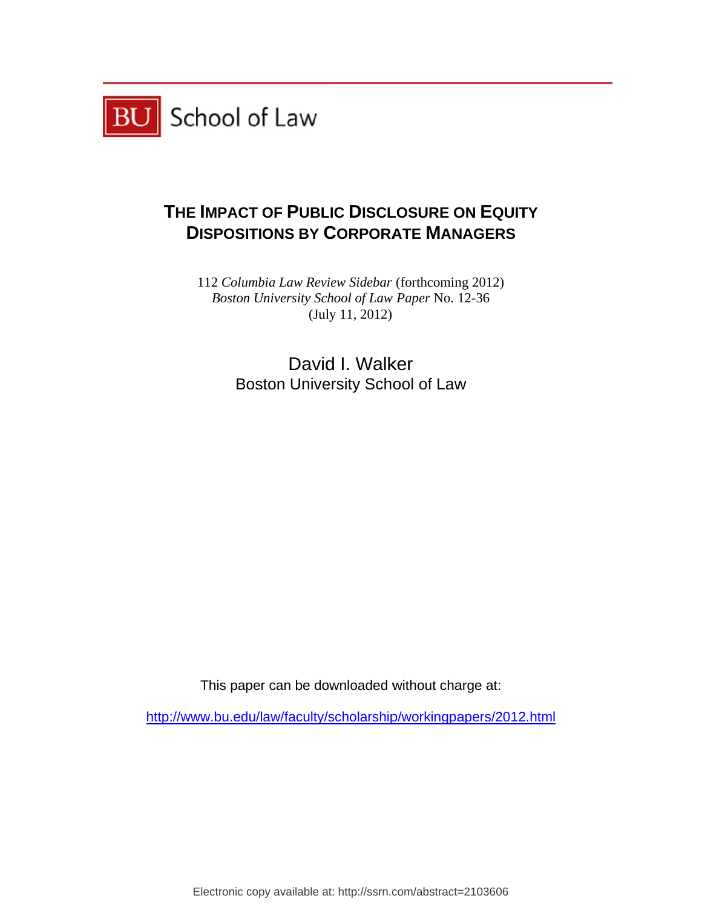

# **THE IMPACT OF PUBLIC DISCLOSURE ON EQUITY DISPOSITIONS BY CORPORATE MANAGERS**

112 *Columbia Law Review Sidebar* (forthcoming 2012) Boston University School of Law Paper No. 12-36 (July 11, 2012)

> Boston University School of Law David I. Walker

This paper can be downloaded without cha w<br>arge at:<br>

http://www.bu.edu/law/faculty/scholarship/workingpapers/2012.html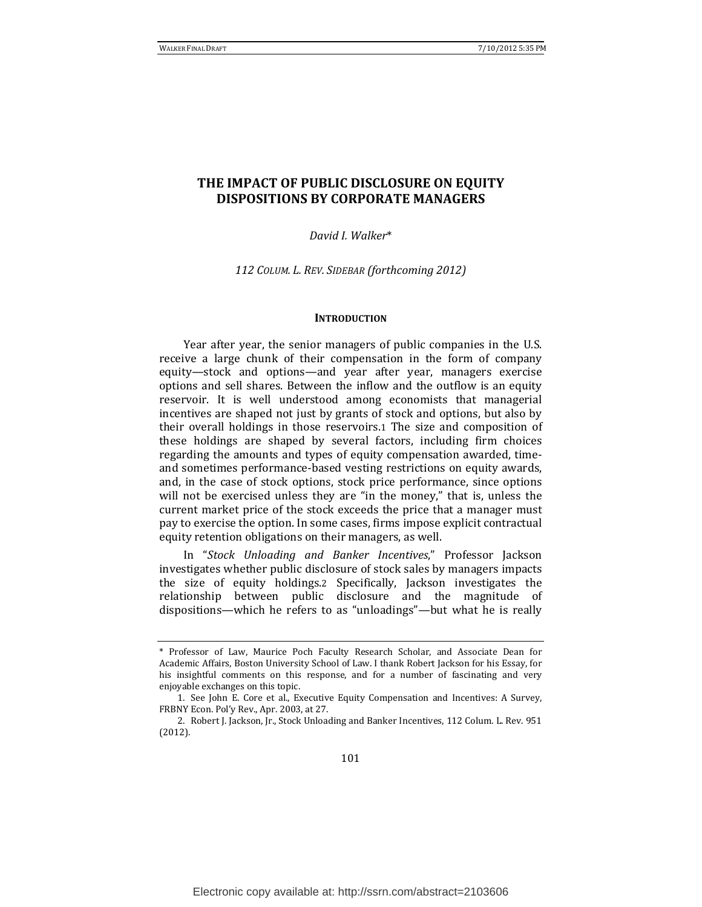### **THE IMPACT OF PUBLIC DISCLOSURE ON EQUITY DISPOSITIONS BY CORPORATE MANAGERS**

#### *David I. Walker*\*

*112 COLUM. L. REV. SIDEBAR (forthcoming 2012)*

#### **INTRODUCTION**

Year after year, the senior managers of public companies in the U.S. receive a large chunk of their compensation in the form of company equity—stock and options—and year after year, managers exercise options and sell shares. Between the inflow and the outflow is an equity reservoir. It is well understood among economists that managerial incentives are shaped not just by grants of stock and options, but also by their overall holdings in those reservoirs.1 The size and composition of these holdings are shaped by several factors, including firm choices regarding the amounts and types of equity compensation awarded, timeand sometimes performance-based vesting restrictions on equity awards, and, in the case of stock options, stock price performance, since options will not be exercised unless they are "in the money," that is, unless the current market price of the stock exceeds the price that a manager must pay to exercise the option. In some cases, firms impose explicit contractual equity retention obligations on their managers, as well.

In "*Stock Unloading and Banker Incentives*," Professor Jackson investigates whether public disclosure of stock sales by managers impacts the size of equity holdings.2 Specifically, Jackson investigates the relationship between public disclosure and the magnitude of dispositions—which he refers to as "unloadings"—but what he is really

<sup>\*</sup> Professor of Law, Maurice Poch Faculty Research Scholar, and Associate Dean for Academic Affairs, Boston University School of Law. I thank Robert Jackson for his Essay, for his insightful comments on this response, and for a number of fascinating and very enjoyable exchanges on this topic.

<sup>1.</sup> See John E. Core et al., Executive Equity Compensation and Incentives: A Survey, FRBNY Econ. Pol'y Rev., Apr. 2003, at 27.

<sup>2.</sup> Robert J. Jackson, Jr., Stock Unloading and Banker Incentives, 112 Colum. L. Rev. 951 (2012).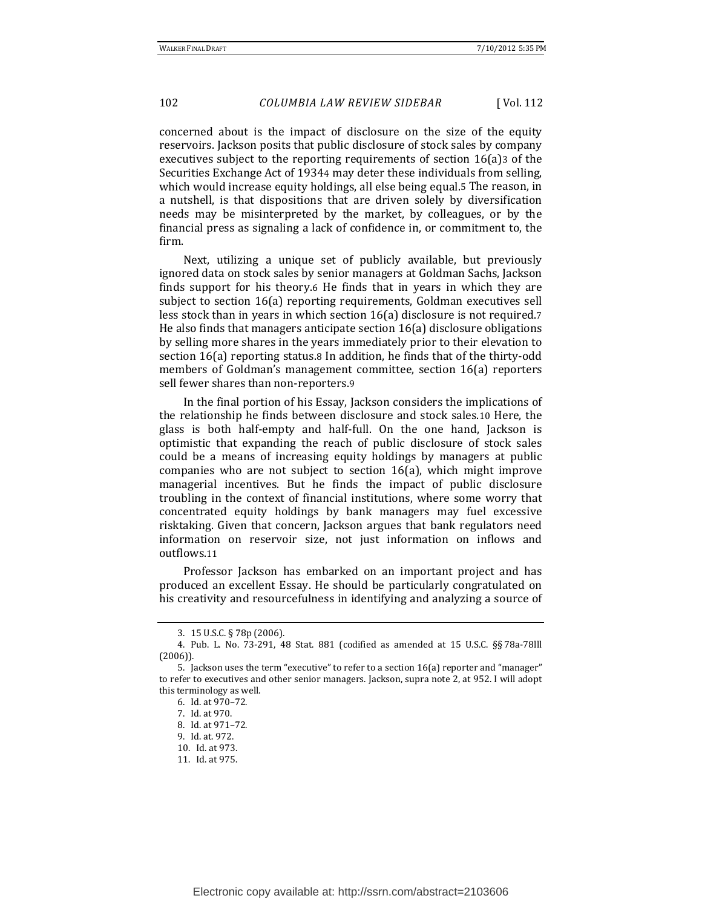concerned about is the impact of disclosure on the size of the equity reservoirs. Jackson posits that public disclosure of stock sales by company executives subject to the reporting requirements of section  $16(a)$ 3 of the Securities Exchange Act of 19344 may deter these individuals from selling, which would increase equity holdings, all else being equal.5 The reason, in a nutshell, is that dispositions that are driven solely by diversification needs may be misinterpreted by the market, by colleagues, or by the financial press as signaling a lack of confidence in, or commitment to, the firm. 

Next, utilizing a unique set of publicly available, but previously ignored data on stock sales by senior managers at Goldman Sachs, Jackson finds support for his theory.6 He finds that in years in which they are subject to section 16(a) reporting requirements, Goldman executives sell less stock than in years in which section  $16(a)$  disclosure is not required.7 He also finds that managers anticipate section  $16(a)$  disclosure obligations by selling more shares in the years immediately prior to their elevation to section  $16(a)$  reporting status.8 In addition, he finds that of the thirty-odd members of Goldman's management committee, section 16(a) reporters sell fewer shares than non-reporters.9

In the final portion of his Essay, Jackson considers the implications of the relationship he finds between disclosure and stock sales.10 Here, the glass is both half-empty and half-full. On the one hand, Jackson is optimistic that expanding the reach of public disclosure of stock sales could be a means of increasing equity holdings by managers at public companies who are not subject to section  $16(a)$ , which might improve managerial incentives. But he finds the impact of public disclosure troubling in the context of financial institutions, where some worry that concentrated equity holdings by bank managers may fuel excessive risktaking. Given that concern, Jackson argues that bank regulators need information on reservoir size, not just information on inflows and outflows.11

Professor Jackson has embarked on an important project and has produced an excellent Essay. He should be particularly congratulated on his creativity and resourcefulness in identifying and analyzing a source of

<sup>3. 15</sup> U.S.C. § 78p (2006).

<sup>4.</sup> Pub. L. No. 73-291, 48 Stat. 881 (codified as amended at 15 U.S.C. §§ 78a-78lll (2006)). 

<sup>5.</sup> Jackson uses the term "executive" to refer to a section  $16(a)$  reporter and "manager" to refer to executives and other senior managers. Jackson, supra note 2, at 952. I will adopt this terminology as well.

<sup>6.</sup> Id. at 970–72. 

<sup>7.</sup> Id. at 970. 

<sup>8.</sup> Id. at 971-72.

<sup>9.</sup> Id. at. 972. 

<sup>10.</sup> Id. at 973. 

<sup>11.</sup> Id. at 975.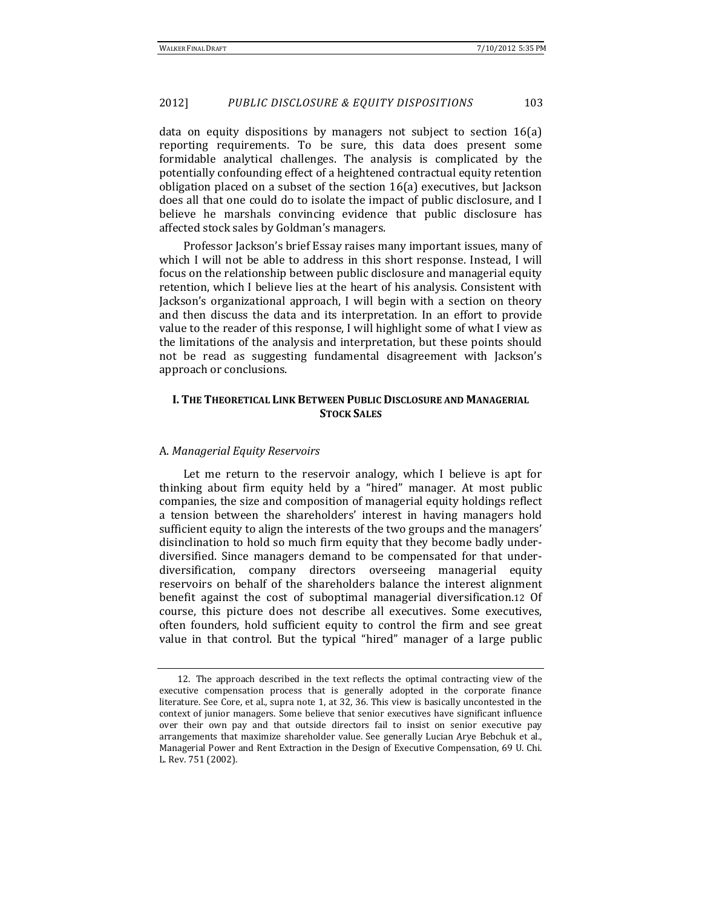data on equity dispositions by managers not subject to section  $16(a)$ reporting requirements. To be sure, this data does present some formidable analytical challenges. The analysis is complicated by the potentially confounding effect of a heightened contractual equity retention obligation placed on a subset of the section  $16(a)$  executives, but Jackson does all that one could do to isolate the impact of public disclosure, and I believe he marshals convincing evidence that public disclosure has affected stock sales by Goldman's managers.

Professor Jackson's brief Essay raises many important issues, many of which I will not be able to address in this short response. Instead, I will focus on the relationship between public disclosure and managerial equity retention, which I believe lies at the heart of his analysis. Consistent with Jackson's organizational approach, I will begin with a section on theory and then discuss the data and its interpretation. In an effort to provide value to the reader of this response, I will highlight some of what I view as the limitations of the analysis and interpretation, but these points should not be read as suggesting fundamental disagreement with Jackson's approach or conclusions.

#### **I. THE THEORETICAL LINK BETWEEN PUBLIC DISCLOSURE AND MANAGERIAL STOCK SALES**

#### A. *Managerial Equity Reservoirs*

Let me return to the reservoir analogy, which I believe is apt for thinking about firm equity held by a "hired" manager. At most public companies, the size and composition of managerial equity holdings reflect a tension between the shareholders' interest in having managers hold sufficient equity to align the interests of the two groups and the managers' disinclination to hold so much firm equity that they become badly underdiversified. Since managers demand to be compensated for that underdiversification, company directors overseeing managerial equity reservoirs on behalf of the shareholders balance the interest alignment benefit against the cost of suboptimal managerial diversification.12 Of course, this picture does not describe all executives. Some executives, often founders, hold sufficient equity to control the firm and see great value in that control. But the typical "hired" manager of a large public

<sup>12.</sup> The approach described in the text reflects the optimal contracting view of the executive compensation process that is generally adopted in the corporate finance literature. See Core, et al., supra note 1, at 32, 36. This view is basically uncontested in the context of junior managers. Some believe that senior executives have significant influence over their own pay and that outside directors fail to insist on senior executive pay arrangements that maximize shareholder value. See generally Lucian Arye Bebchuk et al., Managerial Power and Rent Extraction in the Design of Executive Compensation, 69 U. Chi. L. Rev. 751 (2002).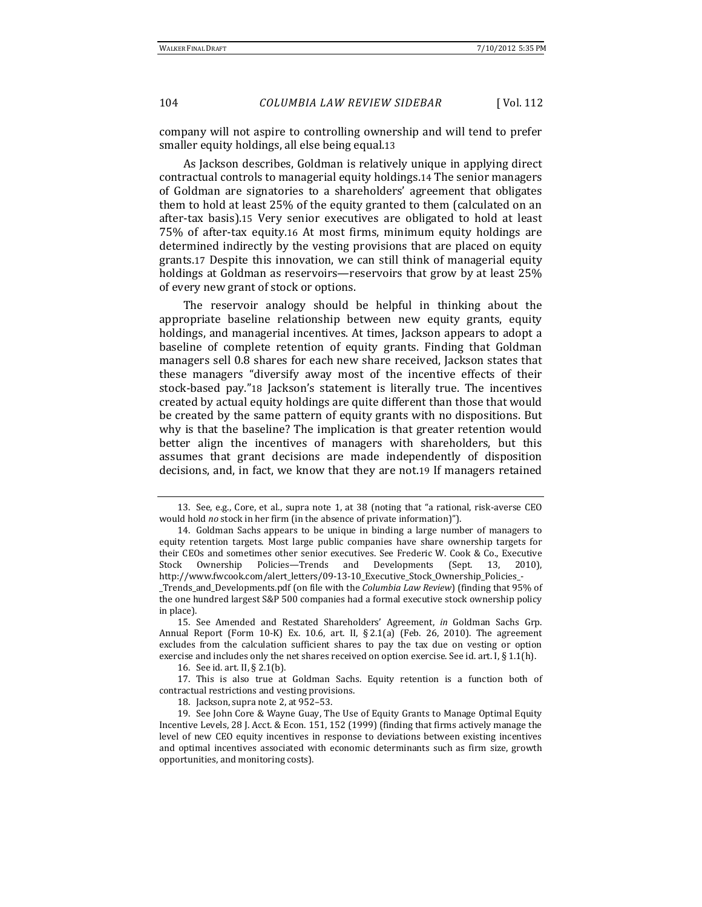company will not aspire to controlling ownership and will tend to prefer smaller equity holdings, all else being equal.13

As Jackson describes, Goldman is relatively unique in applying direct contractual controls to managerial equity holdings.14 The senior managers of Goldman are signatories to a shareholders' agreement that obligates them to hold at least  $25\%$  of the equity granted to them (calculated on an after-tax basis).15 Very senior executives are obligated to hold at least 75% of after-tax equity.16 At most firms, minimum equity holdings are determined indirectly by the vesting provisions that are placed on equity grants.17 Despite this innovation, we can still think of managerial equity holdings at Goldman as reservoirs—reservoirs that grow by at least 25% of every new grant of stock or options.

The reservoir analogy should be helpful in thinking about the appropriate baseline relationship between new equity grants, equity holdings, and managerial incentives. At times, Jackson appears to adopt a baseline of complete retention of equity grants. Finding that Goldman managers sell 0.8 shares for each new share received, Jackson states that these managers "diversify away most of the incentive effects of their stock-based pay."18 Jackson's statement is literally true. The incentives created by actual equity holdings are quite different than those that would be created by the same pattern of equity grants with no dispositions. But why is that the baseline? The implication is that greater retention would better align the incentives of managers with shareholders, but this assumes that grant decisions are made independently of disposition decisions, and, in fact, we know that they are not.19 If managers retained

16. See id. art. II, § 2.1(b).

18. Jackson, supra note 2, at 952-53.

<sup>13.</sup> See, e.g., Core, et al., supra note 1, at 38 (noting that "a rational, risk-averse CEO would hold *no* stock in her firm (in the absence of private information)").

<sup>14.</sup> Goldman Sachs appears to be unique in binding a large number of managers to equity retention targets. Most large public companies have share ownership targets for their CEOs and sometimes other senior executives. See Frederic W. Cook & Co., Executive Stock Ownership Policies—Trends and Developments (Sept. 13, 2010), http://www.fwcook.com/alert\_letters/09‐13‐10\_Executive\_Stock\_Ownership\_Policies\_‐ \_Trends\_and\_Developments.pdf (on file with the *Columbia Law Review*) (finding that 95% of the one hundred largest S&P 500 companies had a formal executive stock ownership policy in place).

<sup>15.</sup> See Amended and Restated Shareholders' Agreement, *in* Goldman Sachs Grp. Annual Report (Form  $10-K$ ) Ex.  $10.6$ , art. II, § 2.1(a) (Feb. 26, 2010). The agreement excludes from the calculation sufficient shares to pay the tax due on vesting or option exercise and includes only the net shares received on option exercise. See id. art. I,  $\S 1.1(h)$ .

<sup>17.</sup> This is also true at Goldman Sachs. Equity retention is a function both of contractual restrictions and vesting provisions.

<sup>19.</sup> See John Core & Wayne Guay, The Use of Equity Grants to Manage Optimal Equity Incentive Levels, 28 J. Acct. & Econ. 151, 152 (1999) (finding that firms actively manage the level of new CEO equity incentives in response to deviations between existing incentives and optimal incentives associated with economic determinants such as firm size, growth opportunities, and monitoring costs).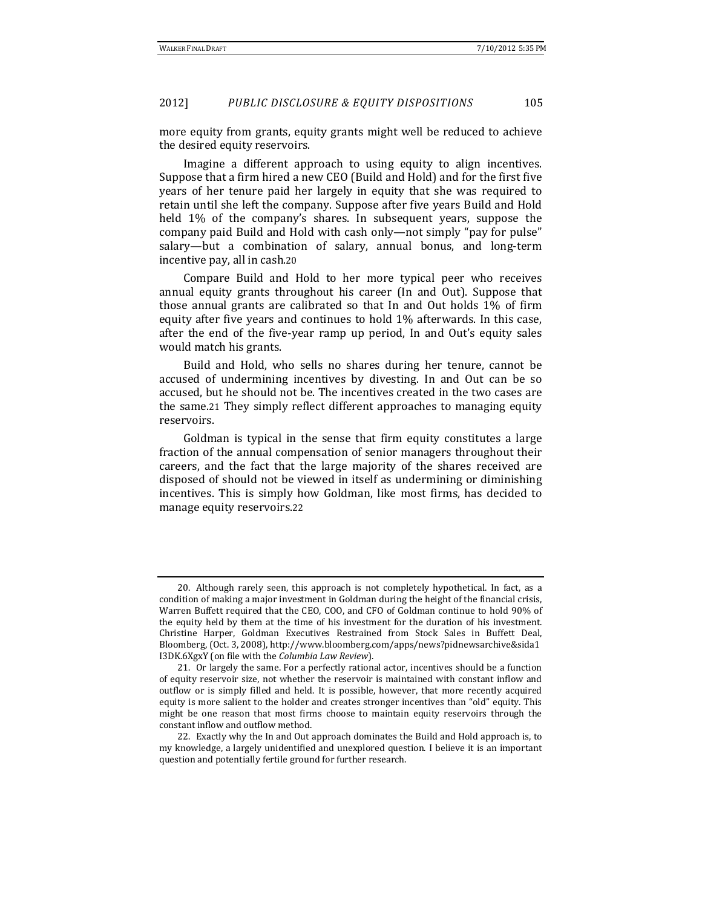more equity from grants, equity grants might well be reduced to achieve the desired equity reservoirs.

Imagine a different approach to using equity to align incentives. Suppose that a firm hired a new CEO (Build and Hold) and for the first five years of her tenure paid her largely in equity that she was required to retain until she left the company. Suppose after five years Build and Hold held 1% of the company's shares. In subsequent years, suppose the company paid Build and Hold with cash only—not simply "pay for pulse" salary—but a combination of salary, annual bonus, and long-term incentive pay, all in cash.20

Compare Build and Hold to her more typical peer who receives annual equity grants throughout his career (In and Out). Suppose that those annual grants are calibrated so that In and Out holds  $1\%$  of firm equity after five years and continues to hold  $1\%$  afterwards. In this case, after the end of the five-year ramp up period, In and Out's equity sales would match his grants.

Build and Hold, who sells no shares during her tenure, cannot be accused of undermining incentives by divesting. In and Out can be so accused, but he should not be. The incentives created in the two cases are the same.21 They simply reflect different approaches to managing equity reservoirs. 

Goldman is typical in the sense that firm equity constitutes a large fraction of the annual compensation of senior managers throughout their careers, and the fact that the large majority of the shares received are disposed of should not be viewed in itself as undermining or diminishing incentives. This is simply how Goldman, like most firms, has decided to manage equity reservoirs.22

<sup>20.</sup> Although rarely seen, this approach is not completely hypothetical. In fact, as a condition of making a major investment in Goldman during the height of the financial crisis, Warren Buffett required that the CEO, COO, and CFO of Goldman continue to hold 90% of the equity held by them at the time of his investment for the duration of his investment. Christine Harper, Goldman Executives Restrained from Stock Sales in Buffett Deal, Bloomberg, (Oct. 3, 2008), http://www.bloomberg.com/apps/news?pidnewsarchive&sida1 I3DK.6XgxY (on file with the *Columbia Law Review*). 

<sup>21.</sup> Or largely the same. For a perfectly rational actor, incentives should be a function of equity reservoir size, not whether the reservoir is maintained with constant inflow and outflow or is simply filled and held. It is possible, however, that more recently acquired equity is more salient to the holder and creates stronger incentives than "old" equity. This might be one reason that most firms choose to maintain equity reservoirs through the constant inflow and outflow method.

<sup>22.</sup> Exactly why the In and Out approach dominates the Build and Hold approach is, to my knowledge, a largely unidentified and unexplored question. I believe it is an important question and potentially fertile ground for further research.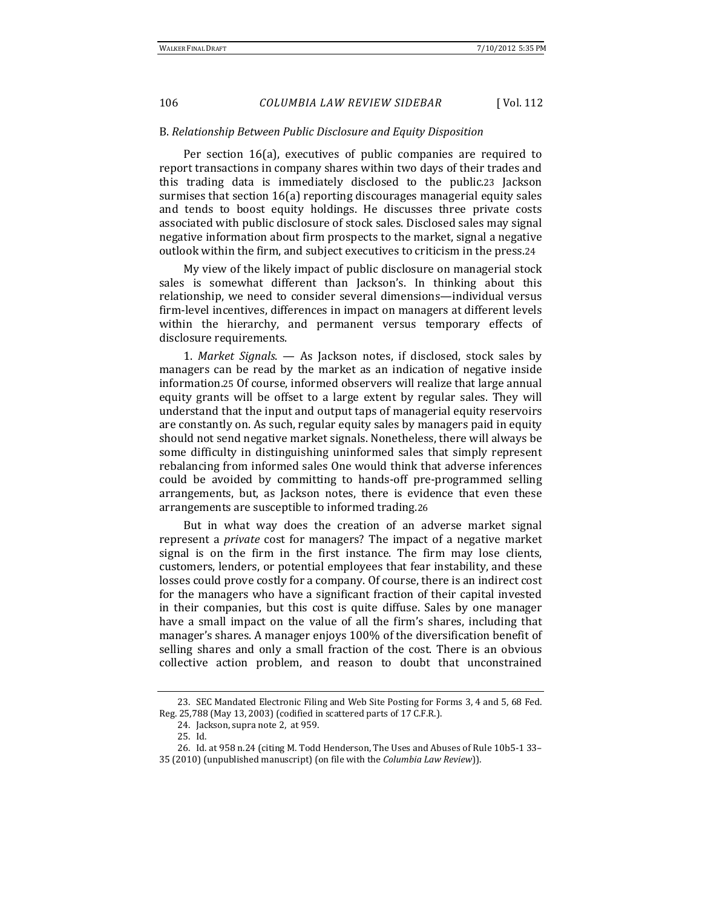#### B. *Relationship Between Public Disclosure and Equity Disposition*

Per section 16(a), executives of public companies are required to report transactions in company shares within two days of their trades and this trading data is immediately disclosed to the public.23 Jackson surmises that section  $16(a)$  reporting discourages managerial equity sales and tends to boost equity holdings. He discusses three private costs associated with public disclosure of stock sales. Disclosed sales may signal negative information about firm prospects to the market, signal a negative outlook within the firm, and subject executives to criticism in the press.24

My view of the likely impact of public disclosure on managerial stock sales is somewhat different than Jackson's. In thinking about this relationship, we need to consider several dimensions—individual versus firm-level incentives, differences in impact on managers at different levels within the hierarchy, and permanent versus temporary effects of disclosure requirements.

1. *Market Signals.* — As Jackson notes, if disclosed, stock sales by managers can be read by the market as an indication of negative inside information.25 Of course, informed observers will realize that large annual equity grants will be offset to a large extent by regular sales. They will understand that the input and output taps of managerial equity reservoirs are constantly on. As such, regular equity sales by managers paid in equity should not send negative market signals. Nonetheless, there will always be some difficulty in distinguishing uninformed sales that simply represent rebalancing from informed sales One would think that adverse inferences could be avoided by committing to hands-off pre-programmed selling arrangements, but, as Jackson notes, there is evidence that even these arrangements are susceptible to informed trading.26

But in what way does the creation of an adverse market signal represent a *private* cost for managers? The impact of a negative market signal is on the firm in the first instance. The firm may lose clients, customers, lenders, or potential employees that fear instability, and these losses could prove costly for a company. Of course, there is an indirect cost for the managers who have a significant fraction of their capital invested in their companies, but this cost is quite diffuse. Sales by one manager have a small impact on the value of all the firm's shares, including that manager's shares. A manager enjoys 100% of the diversification benefit of selling shares and only a small fraction of the cost. There is an obvious collective action problem, and reason to doubt that unconstrained 

<sup>23.</sup> SEC Mandated Electronic Filing and Web Site Posting for Forms 3, 4 and 5, 68 Fed. Reg. 25,788 (May 13, 2003) (codified in scattered parts of 17 C.F.R.).

<sup>24.</sup> Jackson, supra note 2, at 959.

<sup>25.</sup> Id. 

<sup>26.</sup> Id. at 958 n.24 (citing M. Todd Henderson, The Uses and Abuses of Rule 10b5-1 33-

<sup>35 (2010) (</sup>unpublished manuscript) (on file with the *Columbia Law Review*)).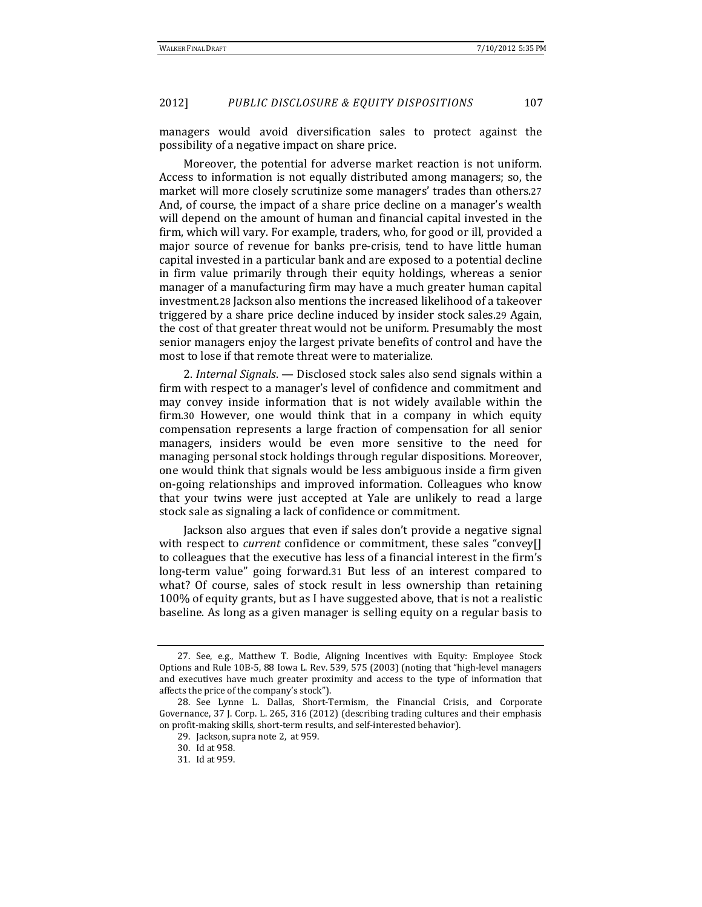managers would avoid diversification sales to protect against the possibility of a negative impact on share price.

Moreover, the potential for adverse market reaction is not uniform. Access to information is not equally distributed among managers; so, the market will more closely scrutinize some managers' trades than others.27 And, of course, the impact of a share price decline on a manager's wealth will depend on the amount of human and financial capital invested in the firm, which will vary. For example, traders, who, for good or ill, provided a major source of revenue for banks pre-crisis, tend to have little human capital invested in a particular bank and are exposed to a potential decline in firm value primarily through their equity holdings, whereas a senior manager of a manufacturing firm may have a much greater human capital investment.28 Jackson also mentions the increased likelihood of a takeover triggered by a share price decline induced by insider stock sales.29 Again, the cost of that greater threat would not be uniform. Presumably the most senior managers enjoy the largest private benefits of control and have the most to lose if that remote threat were to materialize.

2. *Internal Signals*. — Disclosed stock sales also send signals within a firm with respect to a manager's level of confidence and commitment and may convey inside information that is not widely available within the firm.30 However, one would think that in a company in which equity compensation represents a large fraction of compensation for all senior managers, insiders would be even more sensitive to the need for managing personal stock holdings through regular dispositions. Moreover, one would think that signals would be less ambiguous inside a firm given on-going relationships and improved information. Colleagues who know that your twins were just accepted at Yale are unlikely to read a large stock sale as signaling a lack of confidence or commitment.

Jackson also argues that even if sales don't provide a negative signal with respect to *current* confidence or commitment, these sales "convey[] to colleagues that the executive has less of a financial interest in the firm's long-term value" going forward.31 But less of an interest compared to what? Of course, sales of stock result in less ownership than retaining 100% of equity grants, but as I have suggested above, that is not a realistic baseline. As long as a given manager is selling equity on a regular basis to

<sup>27.</sup> See, e.g., Matthew T. Bodie, Aligning Incentives with Equity: Employee Stock Options and Rule 10B-5, 88 Iowa L. Rev. 539, 575 (2003) (noting that "high-level managers and executives have much greater proximity and access to the type of information that affects the price of the company's stock").

<sup>28.</sup> See Lynne L. Dallas, Short-Termism, the Financial Crisis, and Corporate Governance, 37 J. Corp. L. 265, 316 (2012) (describing trading cultures and their emphasis on profit-making skills, short-term results, and self-interested behavior).

<sup>29.</sup> Jackson, supra note 2, at 959.

<sup>30.</sup> Id at 958. 

<sup>31.</sup> Id at 959.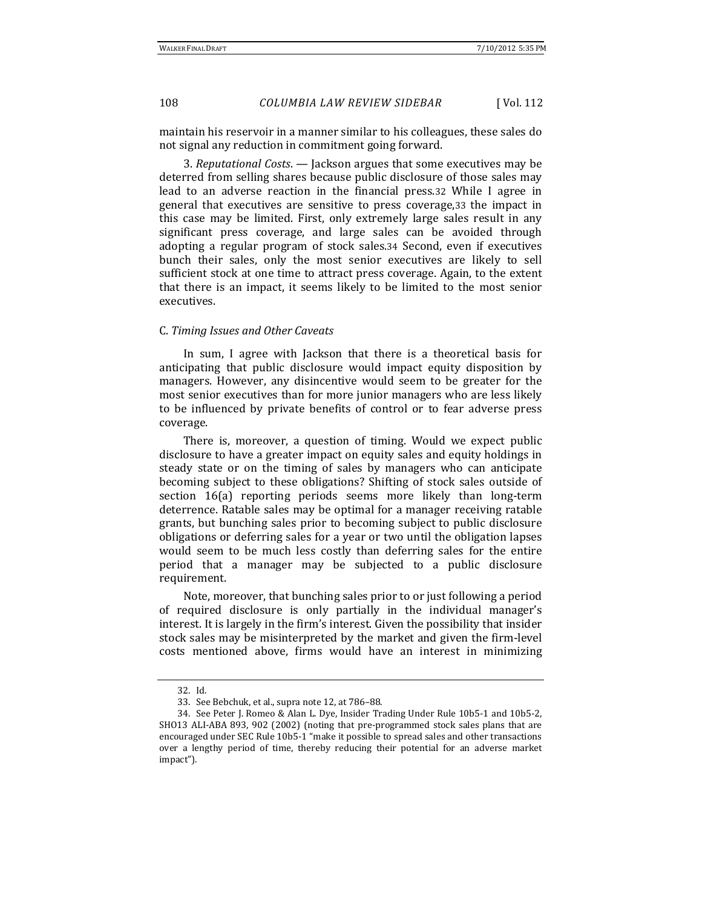maintain his reservoir in a manner similar to his colleagues, these sales do not signal any reduction in commitment going forward.

3. *Reputational Costs.* — Jackson argues that some executives may be deterred from selling shares because public disclosure of those sales may lead to an adverse reaction in the financial press.32 While I agree in general that executives are sensitive to press coverage, 33 the impact in this case may be limited. First, only extremely large sales result in any significant press coverage, and large sales can be avoided through adopting a regular program of stock sales.34 Second, even if executives bunch their sales, only the most senior executives are likely to sell sufficient stock at one time to attract press coverage. Again, to the extent that there is an impact, it seems likely to be limited to the most senior executives. 

#### C. *Timing Issues and Other Caveats*

In sum, I agree with Jackson that there is a theoretical basis for anticipating that public disclosure would impact equity disposition by managers. However, any disincentive would seem to be greater for the most senior executives than for more junior managers who are less likely to be influenced by private benefits of control or to fear adverse press coverage. 

There is, moreover, a question of timing. Would we expect public disclosure to have a greater impact on equity sales and equity holdings in steady state or on the timing of sales by managers who can anticipate becoming subject to these obligations? Shifting of stock sales outside of section 16(a) reporting periods seems more likely than long-term deterrence. Ratable sales may be optimal for a manager receiving ratable grants, but bunching sales prior to becoming subject to public disclosure obligations or deferring sales for a year or two until the obligation lapses would seem to be much less costly than deferring sales for the entire period that a manager may be subjected to a public disclosure requirement. 

Note, moreover, that bunching sales prior to or just following a period of required disclosure is only partially in the individual manager's interest. It is largely in the firm's interest. Given the possibility that insider stock sales may be misinterpreted by the market and given the firm-level costs mentioned above, firms would have an interest in minimizing

<sup>32.</sup> Id. 

<sup>33.</sup> See Bebchuk, et al., supra note 12, at 786-88.

<sup>34.</sup> See Peter J. Romeo & Alan L. Dye, Insider Trading Under Rule 10b5-1 and 10b5-2, SHO13 ALI-ABA 893, 902 (2002) (noting that pre-programmed stock sales plans that are encouraged under SEC Rule 10b5-1 "make it possible to spread sales and other transactions over a lengthy period of time, thereby reducing their potential for an adverse market impact").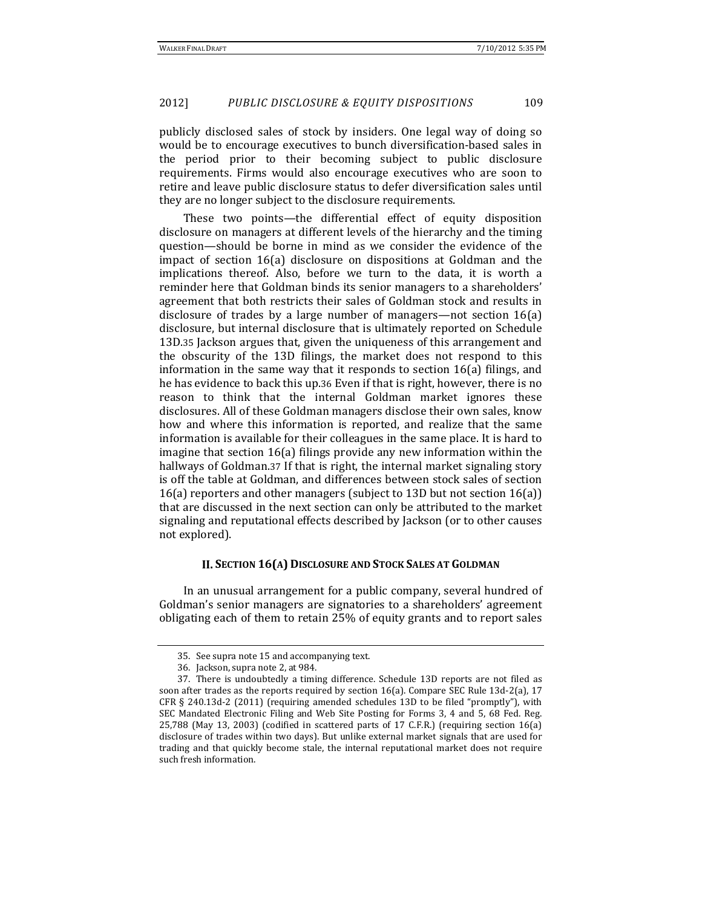publicly disclosed sales of stock by insiders. One legal way of doing so would be to encourage executives to bunch diversification-based sales in the period prior to their becoming subject to public disclosure requirements. Firms would also encourage executives who are soon to retire and leave public disclosure status to defer diversification sales until they are no longer subject to the disclosure requirements.

These two points—the differential effect of equity disposition disclosure on managers at different levels of the hierarchy and the timing question—should be borne in mind as we consider the evidence of the impact of section  $16(a)$  disclosure on dispositions at Goldman and the implications thereof. Also, before we turn to the data, it is worth a reminder here that Goldman binds its senior managers to a shareholders' agreement that both restricts their sales of Goldman stock and results in disclosure of trades by a large number of managers—not section  $16(a)$ disclosure, but internal disclosure that is ultimately reported on Schedule 13D.35 Jackson argues that, given the uniqueness of this arrangement and the obscurity of the 13D filings, the market does not respond to this information in the same way that it responds to section  $16(a)$  filings, and he has evidence to back this up.36 Even if that is right, however, there is no reason to think that the internal Goldman market ignores these disclosures. All of these Goldman managers disclose their own sales, know how and where this information is reported, and realize that the same information is available for their colleagues in the same place. It is hard to imagine that section  $16(a)$  filings provide any new information within the hallways of Goldman.37 If that is right, the internal market signaling story is off the table at Goldman, and differences between stock sales of section 16(a) reporters and other managers (subject to 13D but not section  $16(a)$ ) that are discussed in the next section can only be attributed to the market signaling and reputational effects described by Jackson (or to other causes not explored).

#### **II. SECTION 16(A) DISCLOSURE AND STOCK SALES AT GOLDMAN**

In an unusual arrangement for a public company, several hundred of Goldman's senior managers are signatories to a shareholders' agreement obligating each of them to retain 25% of equity grants and to report sales

<sup>35.</sup> See supra note 15 and accompanying text.

<sup>36.</sup> Jackson, supra note 2, at 984.

<sup>37.</sup> There is undoubtedly a timing difference. Schedule 13D reports are not filed as soon after trades as the reports required by section  $16(a)$ . Compare SEC Rule  $13d-2(a)$ , 17 CFR  $\S$  240.13d-2 (2011) (requiring amended schedules 13D to be filed "promptly"), with SEC Mandated Electronic Filing and Web Site Posting for Forms 3, 4 and 5, 68 Fed. Reg.  $25,788$  (May 13, 2003) (codified in scattered parts of 17 C.F.R.) (requiring section  $16(a)$ ) disclosure of trades within two days). But unlike external market signals that are used for trading and that quickly become stale, the internal reputational market does not require such fresh information.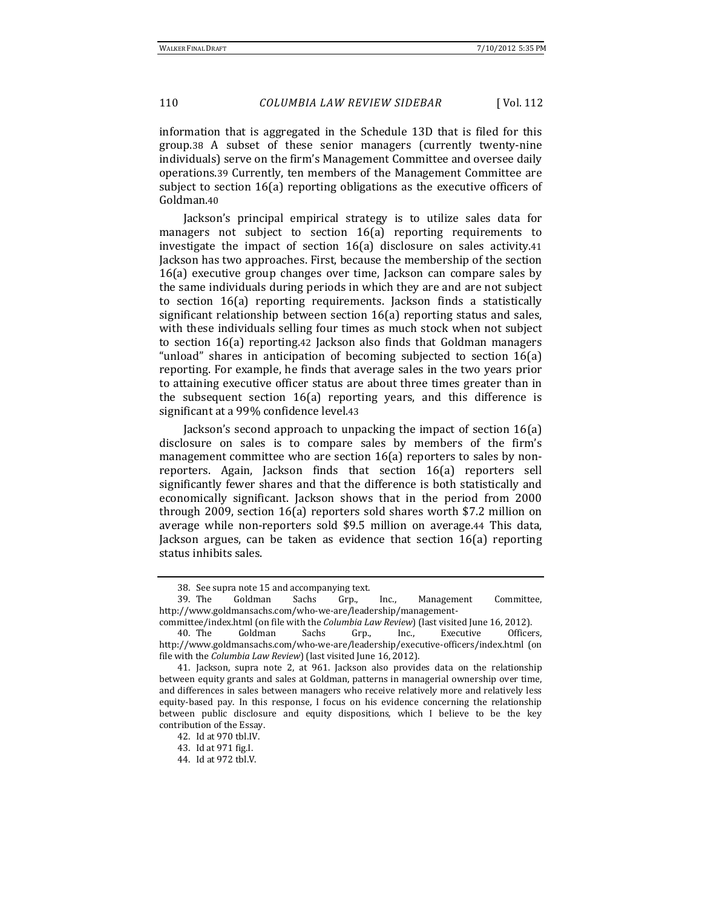information that is aggregated in the Schedule 13D that is filed for this group.38 A subset of these senior managers (currently twenty-nine individuals) serve on the firm's Management Committee and oversee daily operations.39 Currently, ten members of the Management Committee are subject to section  $16(a)$  reporting obligations as the executive officers of Goldman.40

Jackson's principal empirical strategy is to utilize sales data for managers not subject to section 16(a) reporting requirements to investigate the impact of section  $16(a)$  disclosure on sales activity.41 Jackson has two approaches. First, because the membership of the section  $16(a)$  executive group changes over time, Jackson can compare sales by the same individuals during periods in which they are and are not subject to section 16(a) reporting requirements. Jackson finds a statistically significant relationship between section  $16(a)$  reporting status and sales, with these individuals selling four times as much stock when not subject to section 16(a) reporting.42 Jackson also finds that Goldman managers "unload" shares in anticipation of becoming subjected to section  $16(a)$ reporting. For example, he finds that average sales in the two years prior to attaining executive officer status are about three times greater than in the subsequent section  $16(a)$  reporting years, and this difference is significant at a 99% confidence level.43

Jackson's second approach to unpacking the impact of section  $16(a)$ disclosure on sales is to compare sales by members of the firm's management committee who are section  $16(a)$  reporters to sales by nonreporters. Again, Jackson finds that section 16(a) reporters sell significantly fewer shares and that the difference is both statistically and economically significant. Jackson shows that in the period from 2000 through 2009, section  $16(a)$  reporters sold shares worth \$7.2 million on average while non-reporters sold \$9.5 million on average.44 This data, Jackson argues, can be taken as evidence that section  $16(a)$  reporting status inhibits sales.

42. Id at 970 tbl.IV. 

<sup>38.</sup> See supra note 15 and accompanying text.

<sup>39.</sup> The Goldman Sachs Grp., Inc., Management Committee, http://www.goldmansachs.com/who‐we‐are/leadership/management‐

committee/index.html (on file with the *Columbia Law Review*) (last visited June 16, 2012). 40. The Goldman Sachs Grp., Inc., Executive Officers,

http://www.goldmansachs.com/who-we-are/leadership/executive-officers/index.html (on file with the *Columbia Law Review*) (last visited June 16, 2012).

<sup>41.</sup> Jackson, supra note 2, at 961. Jackson also provides data on the relationship between equity grants and sales at Goldman, patterns in managerial ownership over time, and differences in sales between managers who receive relatively more and relatively less equity-based pay. In this response, I focus on his evidence concerning the relationship between public disclosure and equity dispositions, which I believe to be the key contribution of the Essay.

<sup>43.</sup> Id at 971 fig.I. 

<sup>44.</sup> Id at 972 tbl.V.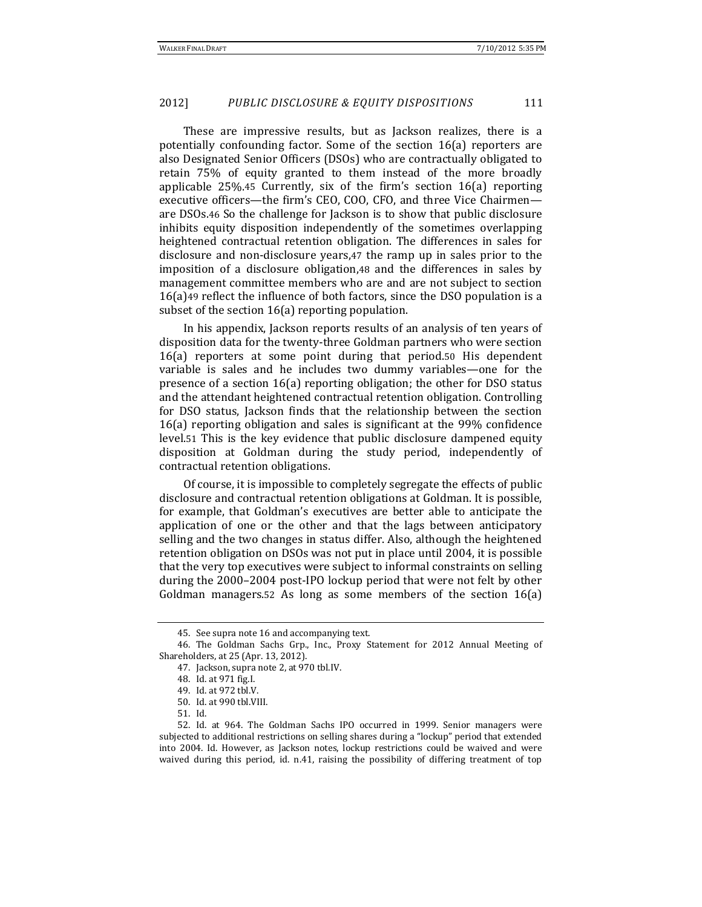These are impressive results, but as Jackson realizes, there is a potentially confounding factor. Some of the section  $16(a)$  reporters are also Designated Senior Officers (DSOs) who are contractually obligated to retain 75% of equity granted to them instead of the more broadly applicable  $25\%$ .45 Currently, six of the firm's section  $16(a)$  reporting executive officers-the firm's CEO, COO, CFO, and three Vice Chairmenare DSOs.46 So the challenge for Jackson is to show that public disclosure inhibits equity disposition independently of the sometimes overlapping heightened contractual retention obligation. The differences in sales for disclosure and non-disclosure years,47 the ramp up in sales prior to the imposition of a disclosure obligation, $48$  and the differences in sales by management committee members who are and are not subject to section  $16(a)$ 49 reflect the influence of both factors, since the DSO population is a subset of the section  $16(a)$  reporting population.

In his appendix, Jackson reports results of an analysis of ten years of disposition data for the twenty-three Goldman partners who were section 16(a) reporters at some point during that period.50 His dependent variable is sales and he includes two dummy variables—one for the presence of a section  $16(a)$  reporting obligation; the other for DSO status and the attendant heightened contractual retention obligation. Controlling for DSO status, Jackson finds that the relationship between the section 16(a) reporting obligation and sales is significant at the  $99\%$  confidence level.<sub>51</sub> This is the key evidence that public disclosure dampened equity disposition at Goldman during the study period, independently of contractual retention obligations.

Of course, it is impossible to completely segregate the effects of public disclosure and contractual retention obligations at Goldman. It is possible, for example, that Goldman's executives are better able to anticipate the application of one or the other and that the lags between anticipatory selling and the two changes in status differ. Also, although the heightened retention obligation on DSOs was not put in place until 2004, it is possible that the very top executives were subject to informal constraints on selling during the 2000–2004 post-IPO lockup period that were not felt by other Goldman managers.52 As long as some members of the section  $16(a)$ 

<sup>45.</sup> See supra note 16 and accompanying text.

<sup>46.</sup> The Goldman Sachs Grp., Inc., Proxy Statement for 2012 Annual Meeting of Shareholders, at 25 (Apr. 13, 2012).

<sup>47.</sup> Jackson, supra note 2, at 970 tbl.IV.

<sup>48.</sup> Id. at 971 fig.I. 

<sup>49.</sup> Id. at 972 tbl.V.

<sup>50.</sup> Id. at 990 tbl.VIII. 

<sup>51.</sup> Id. 

<sup>52.</sup> Id. at 964. The Goldman Sachs IPO occurred in 1999. Senior managers were subjected to additional restrictions on selling shares during a "lockup" period that extended into 2004. Id. However, as Jackson notes, lockup restrictions could be waived and were waived during this period, id. n.41, raising the possibility of differing treatment of top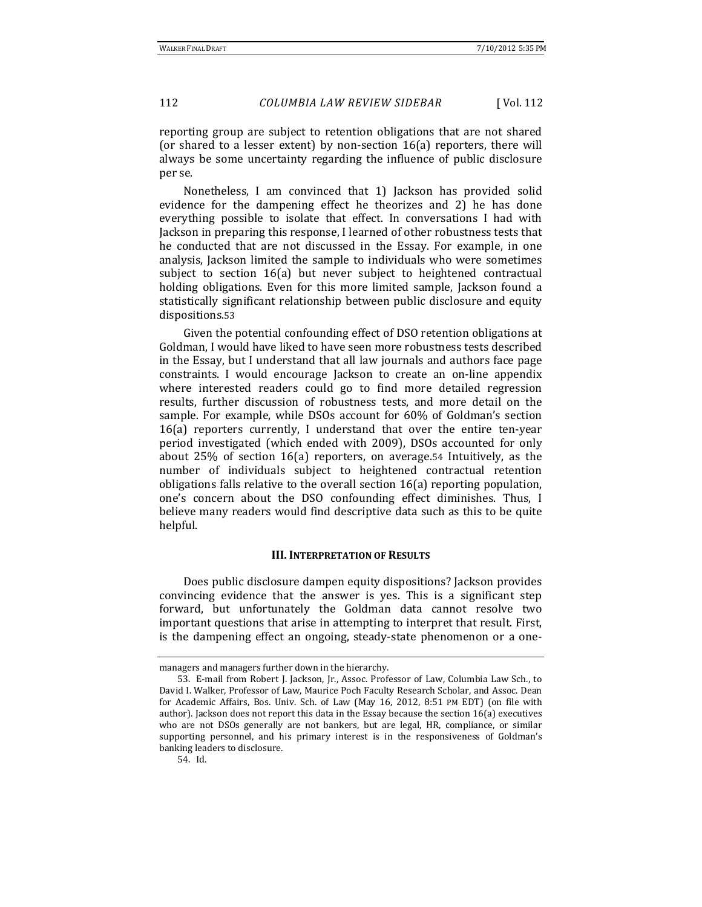reporting group are subject to retention obligations that are not shared (or shared to a lesser extent) by non-section  $16(a)$  reporters, there will always be some uncertainty regarding the influence of public disclosure per se.

Nonetheless, I am convinced that 1) Jackson has provided solid evidence for the dampening effect he theorizes and 2) he has done everything possible to isolate that effect. In conversations I had with Jackson in preparing this response, I learned of other robustness tests that he conducted that are not discussed in the Essay. For example, in one analysis, Jackson limited the sample to individuals who were sometimes subject to section 16(a) but never subject to heightened contractual holding obligations. Even for this more limited sample, Jackson found a statistically significant relationship between public disclosure and equity dispositions.53

Given the potential confounding effect of DSO retention obligations at Goldman, I would have liked to have seen more robustness tests described in the Essay, but I understand that all law journals and authors face page constraints. I would encourage Jackson to create an on-line appendix where interested readers could go to find more detailed regression results, further discussion of robustness tests, and more detail on the sample. For example, while DSOs account for 60% of Goldman's section 16(a) reporters currently, I understand that over the entire ten-year period investigated (which ended with 2009), DSOs accounted for only about  $25\%$  of section  $16(a)$  reporters, on average.54 Intuitively, as the number of individuals subject to heightened contractual retention obligations falls relative to the overall section  $16(a)$  reporting population, one's concern about the DSO confounding effect diminishes. Thus, I believe many readers would find descriptive data such as this to be quite helpful. 

#### **III. INTERPRETATION OF RESULTS**

Does public disclosure dampen equity dispositions? Jackson provides convincing evidence that the answer is yes. This is a significant step forward, but unfortunately the Goldman data cannot resolve two important questions that arise in attempting to interpret that result. First, is the dampening effect an ongoing, steady-state phenomenon or a one-

54. Id. 

managers and managers further down in the hierarchy.

<sup>53.</sup> E-mail from Robert J. Jackson, Jr., Assoc. Professor of Law, Columbia Law Sch., to David I. Walker, Professor of Law, Maurice Poch Faculty Research Scholar, and Assoc. Dean for Academic Affairs, Bos. Univ. Sch. of Law (May 16, 2012, 8:51 PM EDT) (on file with author). Jackson does not report this data in the Essay because the section  $16(a)$  executives who are not DSOs generally are not bankers, but are legal, HR, compliance, or similar supporting personnel, and his primary interest is in the responsiveness of Goldman's banking leaders to disclosure.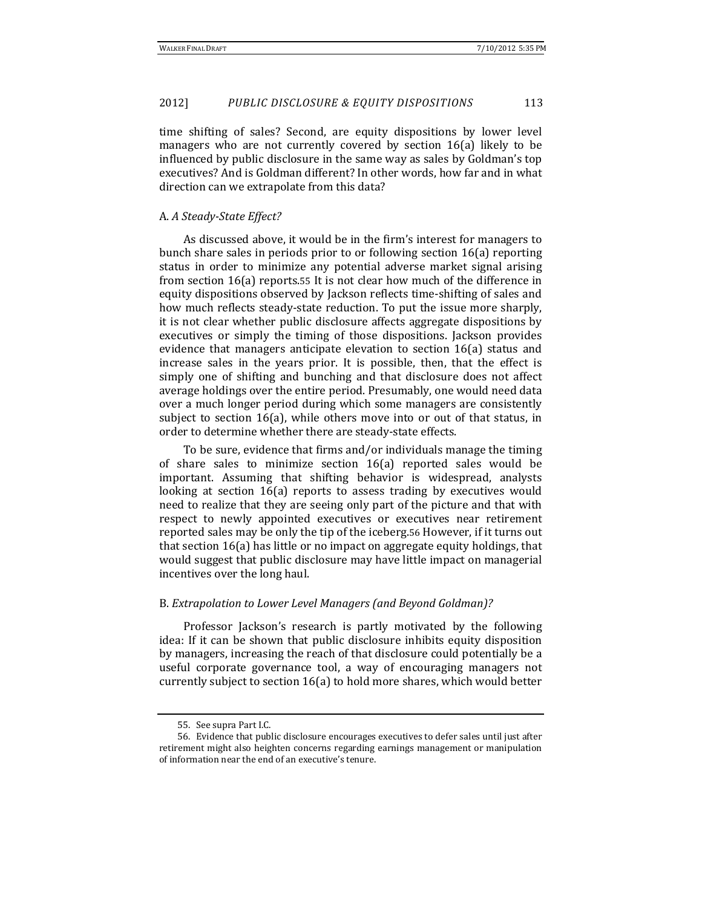time shifting of sales? Second, are equity dispositions by lower level managers who are not currently covered by section  $16(a)$  likely to be influenced by public disclosure in the same way as sales by Goldman's top executives? And is Goldman different? In other words, how far and in what direction can we extrapolate from this data?

#### A. *A Steady‐State Effect?*

As discussed above, it would be in the firm's interest for managers to bunch share sales in periods prior to or following section  $16(a)$  reporting status in order to minimize any potential adverse market signal arising from section  $16(a)$  reports.55 It is not clear how much of the difference in equity dispositions observed by Jackson reflects time-shifting of sales and how much reflects steady-state reduction. To put the issue more sharply, it is not clear whether public disclosure affects aggregate dispositions by executives or simply the timing of those dispositions. Jackson provides evidence that managers anticipate elevation to section 16(a) status and increase sales in the years prior. It is possible, then, that the effect is simply one of shifting and bunching and that disclosure does not affect average holdings over the entire period. Presumably, one would need data over a much longer period during which some managers are consistently subject to section  $16(a)$ , while others move into or out of that status, in order to determine whether there are steady-state effects.

To be sure, evidence that firms and/or individuals manage the timing of share sales to minimize section  $16(a)$  reported sales would be important. Assuming that shifting behavior is widespread, analysts looking at section 16(a) reports to assess trading by executives would need to realize that they are seeing only part of the picture and that with respect to newly appointed executives or executives near retirement reported sales may be only the tip of the iceberg.56 However, if it turns out that section  $16(a)$  has little or no impact on aggregate equity holdings, that would suggest that public disclosure may have little impact on managerial incentives over the long haul.

#### B. *Extrapolation to Lower Level Managers (and Beyond Goldman)?*

Professor Jackson's research is partly motivated by the following idea: If it can be shown that public disclosure inhibits equity disposition by managers, increasing the reach of that disclosure could potentially be a useful corporate governance tool, a way of encouraging managers not currently subject to section  $16(a)$  to hold more shares, which would better

<sup>55.</sup> See supra Part I.C.

<sup>56.</sup> Evidence that public disclosure encourages executives to defer sales until just after retirement might also heighten concerns regarding earnings management or manipulation of information near the end of an executive's tenure.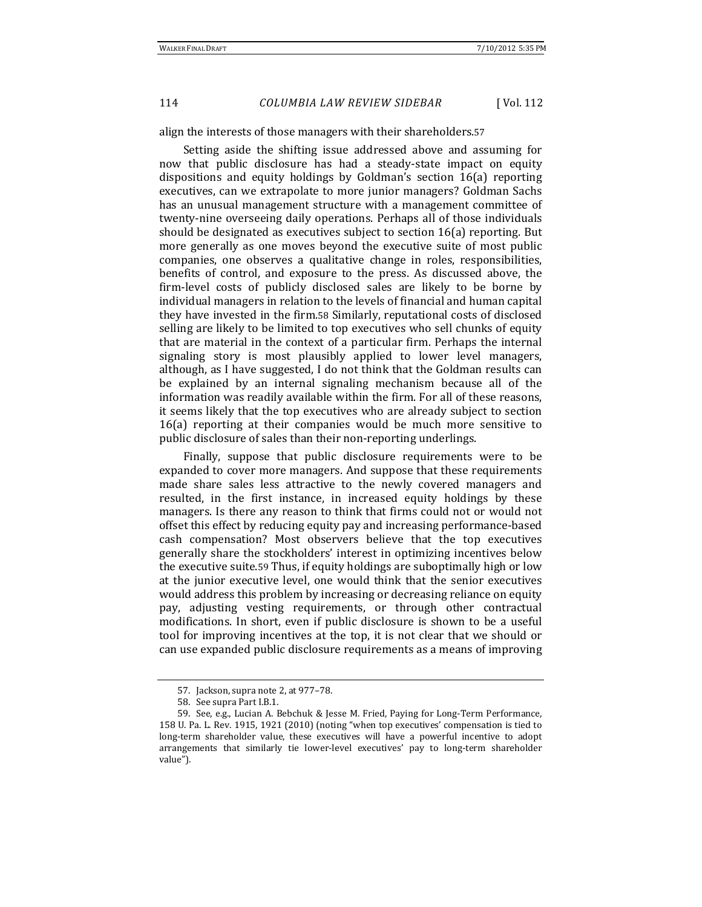align the interests of those managers with their shareholders.57

Setting aside the shifting issue addressed above and assuming for now that public disclosure has had a steady-state impact on equity dispositions and equity holdings by Goldman's section 16(a) reporting executives, can we extrapolate to more junior managers? Goldman Sachs has an unusual management structure with a management committee of twenty-nine overseeing daily operations. Perhaps all of those individuals should be designated as executives subject to section  $16(a)$  reporting. But more generally as one moves beyond the executive suite of most public companies, one observes a qualitative change in roles, responsibilities, benefits of control, and exposure to the press. As discussed above, the firm-level costs of publicly disclosed sales are likely to be borne by individual managers in relation to the levels of financial and human capital they have invested in the firm.58 Similarly, reputational costs of disclosed selling are likely to be limited to top executives who sell chunks of equity that are material in the context of a particular firm. Perhaps the internal signaling story is most plausibly applied to lower level managers, although, as I have suggested, I do not think that the Goldman results can be explained by an internal signaling mechanism because all of the information was readily available within the firm. For all of these reasons, it seems likely that the top executives who are already subject to section  $16(a)$  reporting at their companies would be much more sensitive to public disclosure of sales than their non-reporting underlings.

Finally, suppose that public disclosure requirements were to be expanded to cover more managers. And suppose that these requirements made share sales less attractive to the newly covered managers and resulted, in the first instance, in increased equity holdings by these managers. Is there any reason to think that firms could not or would not offset this effect by reducing equity pay and increasing performance-based cash compensation? Most observers believe that the top executives generally share the stockholders' interest in optimizing incentives below the executive suite.59 Thus, if equity holdings are suboptimally high or low at the junior executive level, one would think that the senior executives would address this problem by increasing or decreasing reliance on equity pay, adjusting vesting requirements, or through other contractual modifications. In short, even if public disclosure is shown to be a useful tool for improving incentives at the top, it is not clear that we should or can use expanded public disclosure requirements as a means of improving

<sup>57.</sup> Jackson, supra note 2, at 977-78.

<sup>58.</sup> See supra Part I.B.1.

<sup>59.</sup> See, e.g., Lucian A. Bebchuk & Jesse M. Fried, Paying for Long-Term Performance, 158 U. Pa. L. Rev. 1915, 1921 (2010) (noting "when top executives' compensation is tied to long-term shareholder value, these executives will have a powerful incentive to adopt arrangements that similarly tie lower-level executives' pay to long-term shareholder value").